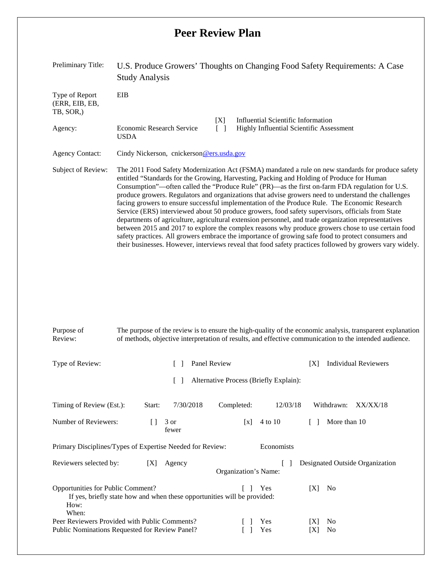## **Peer Review Plan**

| Preliminary Title:                                       | U.S. Produce Growers' Thoughts on Changing Food Safety Requirements: A Case<br><b>Study Analysis</b>                                                                                                                                                                                                                                                                                                                                                                                                                                                                                                                                                                                                                                                                                                                                                                                                                                                                                                                                          |  |  |  |  |  |  |
|----------------------------------------------------------|-----------------------------------------------------------------------------------------------------------------------------------------------------------------------------------------------------------------------------------------------------------------------------------------------------------------------------------------------------------------------------------------------------------------------------------------------------------------------------------------------------------------------------------------------------------------------------------------------------------------------------------------------------------------------------------------------------------------------------------------------------------------------------------------------------------------------------------------------------------------------------------------------------------------------------------------------------------------------------------------------------------------------------------------------|--|--|--|--|--|--|
| Type of Report<br>(ERR, EIB, EB,<br>TB, SOR,)<br>Agency: | EIB<br>[X]<br>Influential Scientific Information<br><b>Economic Research Service</b><br><b>Highly Influential Scientific Assessment</b><br>$\lceil$ $\rceil$<br><b>USDA</b>                                                                                                                                                                                                                                                                                                                                                                                                                                                                                                                                                                                                                                                                                                                                                                                                                                                                   |  |  |  |  |  |  |
| <b>Agency Contact:</b>                                   | Cindy Nickerson, cnickerson@ers.usda.gov                                                                                                                                                                                                                                                                                                                                                                                                                                                                                                                                                                                                                                                                                                                                                                                                                                                                                                                                                                                                      |  |  |  |  |  |  |
| Subject of Review:                                       | The 2011 Food Safety Modernization Act (FSMA) mandated a rule on new standards for produce safety<br>entitled "Standards for the Growing, Harvesting, Packing and Holding of Produce for Human<br>Consumption"—often called the "Produce Rule" (PR)—as the first on-farm FDA regulation for U.S.<br>produce growers. Regulators and organizations that advise growers need to understand the challenges<br>facing growers to ensure successful implementation of the Produce Rule. The Economic Research<br>Service (ERS) interviewed about 50 produce growers, food safety supervisors, officials from State<br>departments of agriculture, agricultural extension personnel, and trade organization representatives<br>between 2015 and 2017 to explore the complex reasons why produce growers chose to use certain food<br>safety practices. All growers embrace the importance of growing safe food to protect consumers and<br>their businesses. However, interviews reveal that food safety practices followed by growers vary widely. |  |  |  |  |  |  |

| Purpose of<br>Review:                                                                                                                 | The purpose of the review is to ensure the high-quality of the economic analysis, transparent explanation<br>of methods, objective interpretation of results, and effective communication to the intended audience. |               |                                        |                                    |     |                                  |                                 |  |  |  |
|---------------------------------------------------------------------------------------------------------------------------------------|---------------------------------------------------------------------------------------------------------------------------------------------------------------------------------------------------------------------|---------------|----------------------------------------|------------------------------------|-----|----------------------------------|---------------------------------|--|--|--|
| Type of Review:                                                                                                                       | Panel Review                                                                                                                                                                                                        |               |                                        | <b>Individual Reviewers</b><br>[X] |     |                                  |                                 |  |  |  |
|                                                                                                                                       |                                                                                                                                                                                                                     |               | Alternative Process (Briefly Explain): |                                    |     |                                  |                                 |  |  |  |
| Timing of Review (Est.):                                                                                                              | Start:                                                                                                                                                                                                              | 7/30/2018     | Completed:                             | 12/03/18                           |     | Withdrawn:                       | XX/XX/18                        |  |  |  |
| Number of Reviewers:                                                                                                                  | Ħ                                                                                                                                                                                                                   | 3 or<br>fewer | $\lceil x \rceil$                      | 4 to 10                            |     | More than 10                     |                                 |  |  |  |
| Primary Disciplines/Types of Expertise Needed for Review:                                                                             |                                                                                                                                                                                                                     |               |                                        | Economists                         |     |                                  |                                 |  |  |  |
| Reviewers selected by:                                                                                                                | [X]                                                                                                                                                                                                                 | Agency        | Organization's Name:                   |                                    |     |                                  | Designated Outside Organization |  |  |  |
| <b>Opportunities for Public Comment?</b><br>If yes, briefly state how and when these opportunities will be provided:<br>How:<br>When: |                                                                                                                                                                                                                     |               |                                        | Yes                                | [X] | No                               |                                 |  |  |  |
| Peer Reviewers Provided with Public Comments?<br>Public Nominations Requested for Review Panel?                                       |                                                                                                                                                                                                                     |               |                                        | Yes<br>Yes                         | X   | N <sub>0</sub><br>N <sub>0</sub> |                                 |  |  |  |